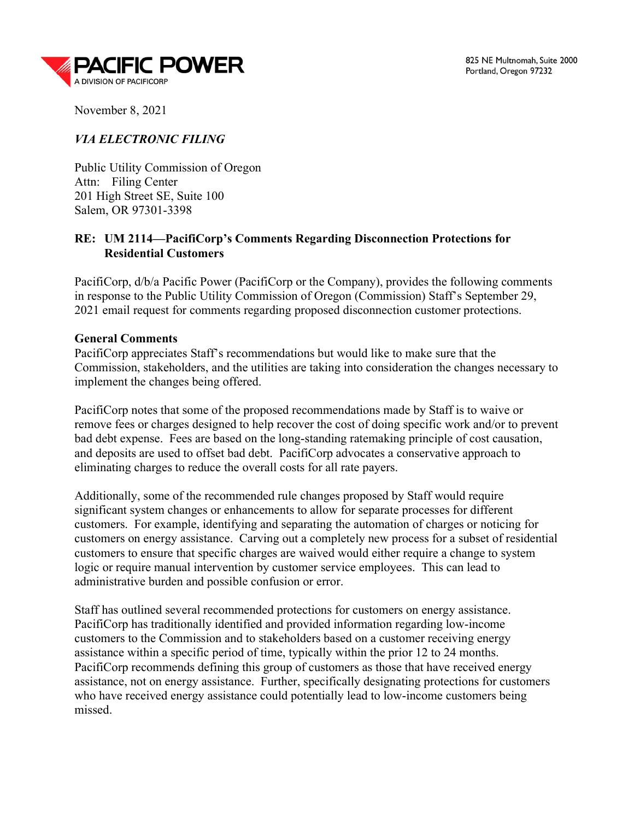825 NE Multnomah, Suite 2000 Portland, Oregon 97232



November 8, 2021

# VIA ELECTRONIC FILING

Public Utility Commission of Oregon Attn: Filing Center 201 High Street SE, Suite 100 Salem, OR 97301-3398

## RE: UM 2114—PacifiCorp's Comments Regarding Disconnection Protections for Residential Customers

PacifiCorp, d/b/a Pacific Power (PacifiCorp or the Company), provides the following comments in response to the Public Utility Commission of Oregon (Commission) Staff's September 29, 2021 email request for comments regarding proposed disconnection customer protections.

#### General Comments

PacifiCorp appreciates Staff's recommendations but would like to make sure that the Commission, stakeholders, and the utilities are taking into consideration the changes necessary to implement the changes being offered.

PacifiCorp notes that some of the proposed recommendations made by Staff is to waive or remove fees or charges designed to help recover the cost of doing specific work and/or to prevent bad debt expense. Fees are based on the long-standing ratemaking principle of cost causation, and deposits are used to offset bad debt. PacifiCorp advocates a conservative approach to eliminating charges to reduce the overall costs for all rate payers.

Additionally, some of the recommended rule changes proposed by Staff would require significant system changes or enhancements to allow for separate processes for different customers. For example, identifying and separating the automation of charges or noticing for customers on energy assistance. Carving out a completely new process for a subset of residential customers to ensure that specific charges are waived would either require a change to system logic or require manual intervention by customer service employees. This can lead to administrative burden and possible confusion or error.

Staff has outlined several recommended protections for customers on energy assistance. PacifiCorp has traditionally identified and provided information regarding low-income customers to the Commission and to stakeholders based on a customer receiving energy assistance within a specific period of time, typically within the prior 12 to 24 months. PacifiCorp recommends defining this group of customers as those that have received energy assistance, not on energy assistance. Further, specifically designating protections for customers who have received energy assistance could potentially lead to low-income customers being missed.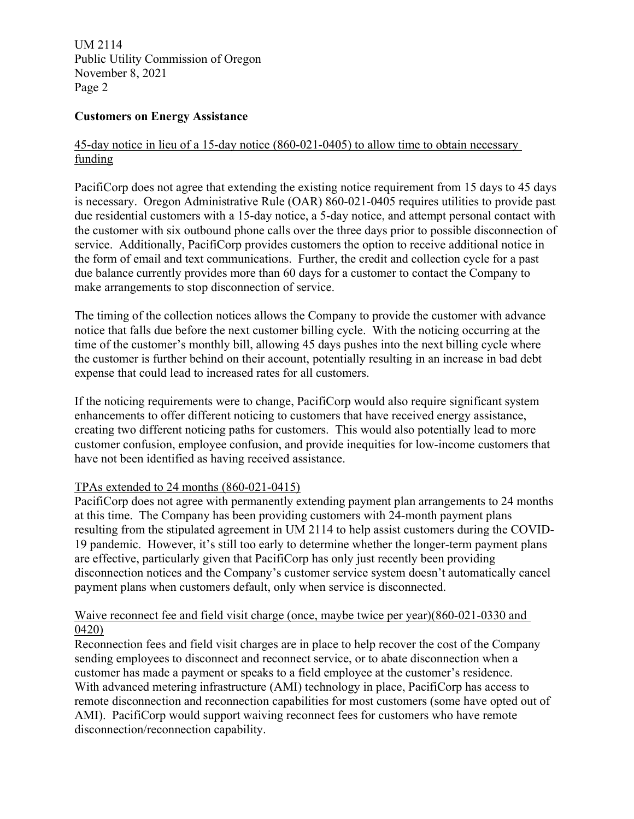UM 2114 Public Utility Commission of Oregon November 8, 2021 Page 2

### Customers on Energy Assistance

### 45-day notice in lieu of a 15-day notice (860-021-0405) to allow time to obtain necessary funding

PacifiCorp does not agree that extending the existing notice requirement from 15 days to 45 days is necessary. Oregon Administrative Rule (OAR) 860-021-0405 requires utilities to provide past due residential customers with a 15-day notice, a 5-day notice, and attempt personal contact with the customer with six outbound phone calls over the three days prior to possible disconnection of service. Additionally, PacifiCorp provides customers the option to receive additional notice in the form of email and text communications. Further, the credit and collection cycle for a past due balance currently provides more than 60 days for a customer to contact the Company to make arrangements to stop disconnection of service.

The timing of the collection notices allows the Company to provide the customer with advance notice that falls due before the next customer billing cycle. With the noticing occurring at the time of the customer's monthly bill, allowing 45 days pushes into the next billing cycle where the customer is further behind on their account, potentially resulting in an increase in bad debt expense that could lead to increased rates for all customers.

If the noticing requirements were to change, PacifiCorp would also require significant system enhancements to offer different noticing to customers that have received energy assistance, creating two different noticing paths for customers. This would also potentially lead to more customer confusion, employee confusion, and provide inequities for low-income customers that have not been identified as having received assistance.

#### TPAs extended to 24 months (860-021-0415)

PacifiCorp does not agree with permanently extending payment plan arrangements to 24 months at this time. The Company has been providing customers with 24-month payment plans resulting from the stipulated agreement in UM 2114 to help assist customers during the COVID-19 pandemic. However, it's still too early to determine whether the longer-term payment plans are effective, particularly given that PacifiCorp has only just recently been providing disconnection notices and the Company's customer service system doesn't automatically cancel payment plans when customers default, only when service is disconnected.

## Waive reconnect fee and field visit charge (once, maybe twice per year)(860-021-0330 and 0420)

Reconnection fees and field visit charges are in place to help recover the cost of the Company sending employees to disconnect and reconnect service, or to abate disconnection when a customer has made a payment or speaks to a field employee at the customer's residence. With advanced metering infrastructure (AMI) technology in place, PacifiCorp has access to remote disconnection and reconnection capabilities for most customers (some have opted out of AMI). PacifiCorp would support waiving reconnect fees for customers who have remote disconnection/reconnection capability.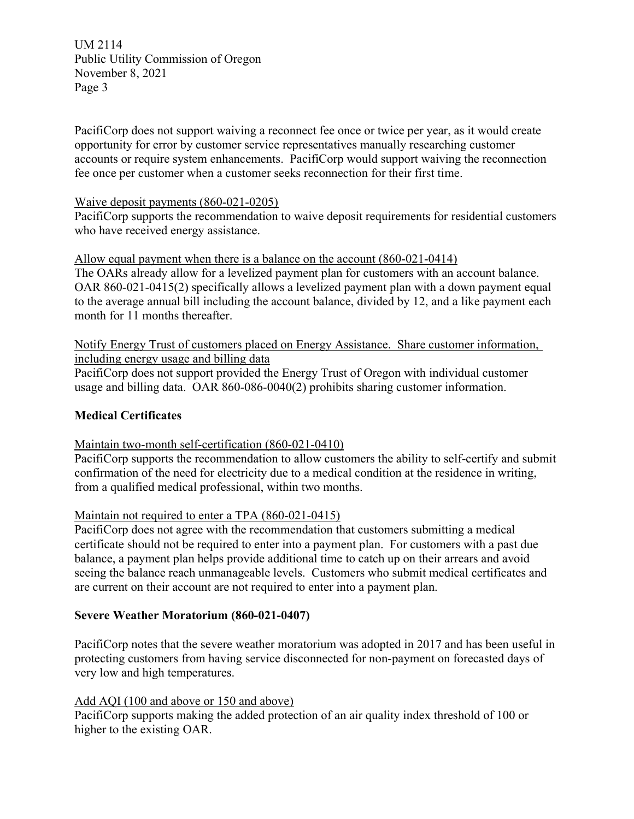UM 2114 Public Utility Commission of Oregon November 8, 2021 Page 3

PacifiCorp does not support waiving a reconnect fee once or twice per year, as it would create opportunity for error by customer service representatives manually researching customer accounts or require system enhancements. PacifiCorp would support waiving the reconnection fee once per customer when a customer seeks reconnection for their first time.

### Waive deposit payments (860-021-0205)

PacifiCorp supports the recommendation to waive deposit requirements for residential customers who have received energy assistance.

### Allow equal payment when there is a balance on the account (860-021-0414)

The OARs already allow for a levelized payment plan for customers with an account balance. OAR 860-021-0415(2) specifically allows a levelized payment plan with a down payment equal to the average annual bill including the account balance, divided by 12, and a like payment each month for 11 months thereafter.

Notify Energy Trust of customers placed on Energy Assistance. Share customer information, including energy usage and billing data PacifiCorp does not support provided the Energy Trust of Oregon with individual customer usage and billing data. OAR 860-086-0040(2) prohibits sharing customer information.

## Medical Certificates

Maintain two-month self-certification (860-021-0410)

PacifiCorp supports the recommendation to allow customers the ability to self-certify and submit confirmation of the need for electricity due to a medical condition at the residence in writing, from a qualified medical professional, within two months.

Maintain not required to enter a TPA (860-021-0415)

PacifiCorp does not agree with the recommendation that customers submitting a medical certificate should not be required to enter into a payment plan. For customers with a past due balance, a payment plan helps provide additional time to catch up on their arrears and avoid seeing the balance reach unmanageable levels. Customers who submit medical certificates and are current on their account are not required to enter into a payment plan.

#### Severe Weather Moratorium (860-021-0407)

PacifiCorp notes that the severe weather moratorium was adopted in 2017 and has been useful in protecting customers from having service disconnected for non-payment on forecasted days of very low and high temperatures.

## Add AQI (100 and above or 150 and above)

PacifiCorp supports making the added protection of an air quality index threshold of 100 or higher to the existing OAR.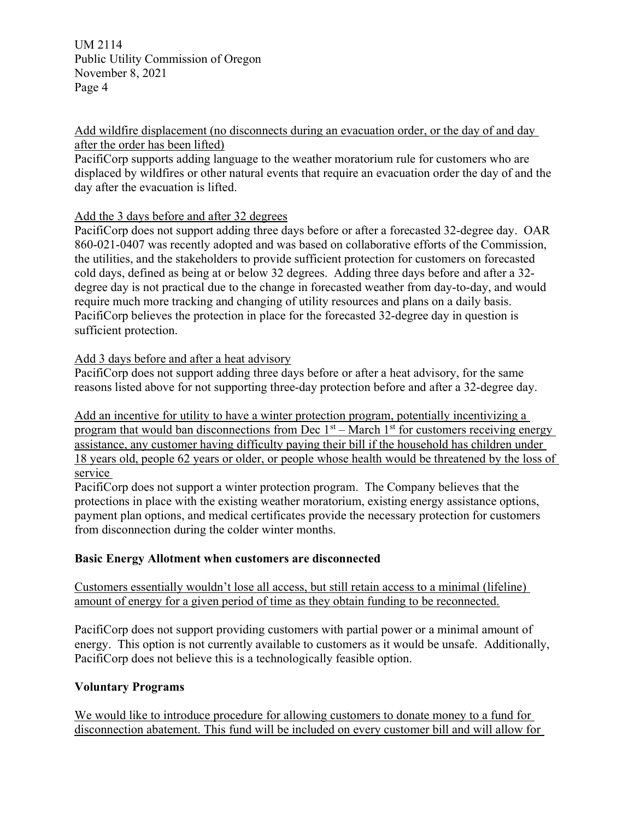UM 2114 Public Utility Commission of Oregon November 8, 2021 Page 4

Add wildfire displacement (no disconnects during an evacuation order, or the day of and day after the order has been lifted)

PacifiCorp supports adding language to the weather moratorium rule for customers who are displaced by wildfires or other natural events that require an evacuation order the day of and the day after the evacuation is lifted.

## Add the 3 days before and after 32 degrees

PacifiCorp does not support adding three days before or after a forecasted 32-degree day. OAR 860-021-0407 was recently adopted and was based on collaborative efforts of the Commission, the utilities, and the stakeholders to provide sufficient protection for customers on forecasted cold days, defined as being at or below 32 degrees. Adding three days before and after a 32 degree day is not practical due to the change in forecasted weather from day-to-day, and would require much more tracking and changing of utility resources and plans on a daily basis. PacifiCorp believes the protection in place for the forecasted 32-degree day in question is sufficient protection.

### Add 3 days before and after a heat advisory

PacifiCorp does not support adding three days before or after a heat advisory, for the same reasons listed above for not supporting three-day protection before and after a 32-degree day.

Add an incentive for utility to have a winter protection program, potentially incentivizing a program that would ban disconnections from Dec  $1<sup>st</sup>$  – March  $1<sup>st</sup>$  for customers receiving energy assistance, any customer having difficulty paying their bill if the household has children under 18 years old, people 62 years or older, or people whose health would be threatened by the loss of service

PacifiCorp does not support a winter protection program. The Company believes that the protections in place with the existing weather moratorium, existing energy assistance options, payment plan options, and medical certificates provide the necessary protection for customers from disconnection during the colder winter months.

## Basic Energy Allotment when customers are disconnected

Customers essentially wouldn't lose all access, but still retain access to a minimal (lifeline) amount of energy for a given period of time as they obtain funding to be reconnected.

PacifiCorp does not support providing customers with partial power or a minimal amount of energy. This option is not currently available to customers as it would be unsafe. Additionally, PacifiCorp does not believe this is a technologically feasible option.

## Voluntary Programs

We would like to introduce procedure for allowing customers to donate money to a fund for disconnection abatement. This fund will be included on every customer bill and will allow for